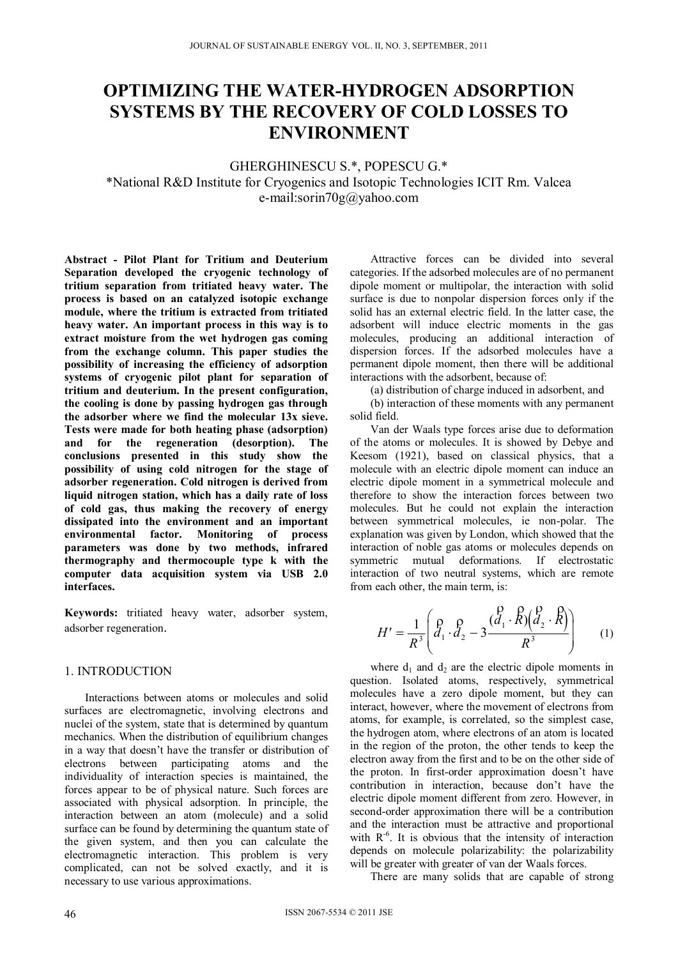# **OPTIMIZING THE WATER-HYDROGEN ADSORPTION SYSTEMS BY THE RECOVERY OF COLD LOSSES TO ENVIRONMENT**

GHERGHINESCU S.\*, POPESCU G.\* \*National R&D Institute for Cryogenics and Isotopic Technologies ICIT Rm. Valcea e-mail:sorin70g@yahoo.com

**Abstract - Pilot Plant for Tritium and Deuterium Separation developed the cryogenic technology of tritium separation from tritiated heavy water. The process is based on an catalyzed isotopic exchange module, where the tritium is extracted from tritiated heavy water. An important process in this way is to extract moisture from the wet hydrogen gas coming from the exchange column. This paper studies the possibility of increasing the efficiency of adsorption systems of cryogenic pilot plant for separation of tritium and deuterium. In the present configuration, the cooling is done by passing hydrogen gas through the adsorber where we find the molecular 13x sieve. Tests were made for both heating phase (adsorption) and for the regeneration (desorption). The conclusions presented in this study show the possibility of using cold nitrogen for the stage of adsorber regeneration. Cold nitrogen is derived from liquid nitrogen station, which has a daily rate of loss of cold gas, thus making the recovery of energy dissipated into the environment and an important environmental factor. Monitoring of process parameters was done by two methods, infrared thermography and thermocouple type k with the computer data acquisition system via USB 2.0 interfaces.** 

**Keywords:** tritiated heavy water, adsorber system, adsorber regeneration.

# 1. INTRODUCTION

Interactions between atoms or molecules and solid surfaces are electromagnetic, involving electrons and nuclei of the system, state that is determined by quantum mechanics. When the distribution of equilibrium changes in a way that doesn't have the transfer or distribution of electrons between participating atoms and the individuality of interaction species is maintained, the forces appear to be of physical nature. Such forces are associated with physical adsorption. In principle, the interaction between an atom (molecule) and a solid surface can be found by determining the quantum state of the given system, and then you can calculate the electromagnetic interaction. This problem is very complicated, can not be solved exactly, and it is necessary to use various approximations.

Attractive forces can be divided into several categories. If the adsorbed molecules are of no permanent dipole moment or multipolar, the interaction with solid surface is due to nonpolar dispersion forces only if the solid has an external electric field. In the latter case, the adsorbent will induce electric moments in the gas molecules, producing an additional interaction of dispersion forces. If the adsorbed molecules have a permanent dipole moment, then there will be additional interactions with the adsorbent, because of:

(a) distribution of charge induced in adsorbent, and

(b) interaction of these moments with any permanent solid field.

Van der Waals type forces arise due to deformation of the atoms or molecules. It is showed by Debye and Keesom (1921), based on classical physics, that a molecule with an electric dipole moment can induce an electric dipole moment in a symmetrical molecule and therefore to show the interaction forces between two molecules. But he could not explain the interaction between symmetrical molecules, ie non-polar. The explanation was given by London, which showed that the interaction of noble gas atoms or molecules depends on symmetric mutual deformations. If electrostatic interaction of two neutral systems, which are remote from each other, the main term, is:

$$
H' = \frac{1}{R^3} \left( \frac{\rho}{d_1} \cdot \frac{\rho}{d_2} - 3 \frac{(\frac{\rho}{d_1} \cdot \cancel{R})(\frac{\rho}{d_2} \cdot \cancel{R})}{R^3} \right) \tag{1}
$$

where  $d_1$  and  $d_2$  are the electric dipole moments in question. Isolated atoms, respectively, symmetrical molecules have a zero dipole moment, but they can interact, however, where the movement of electrons from atoms, for example, is correlated, so the simplest case, the hydrogen atom, where electrons of an atom is located in the region of the proton, the other tends to keep the electron away from the first and to be on the other side of the proton. In first-order approximation doesn't have contribution in interaction, because don't have the electric dipole moment different from zero. However, in second-order approximation there will be a contribution and the interaction must be attractive and proportional with  $R^{-6}$ . It is obvious that the intensity of interaction depends on molecule polarizability: the polarizability will be greater with greater of van der Waals forces.

There are many solids that are capable of strong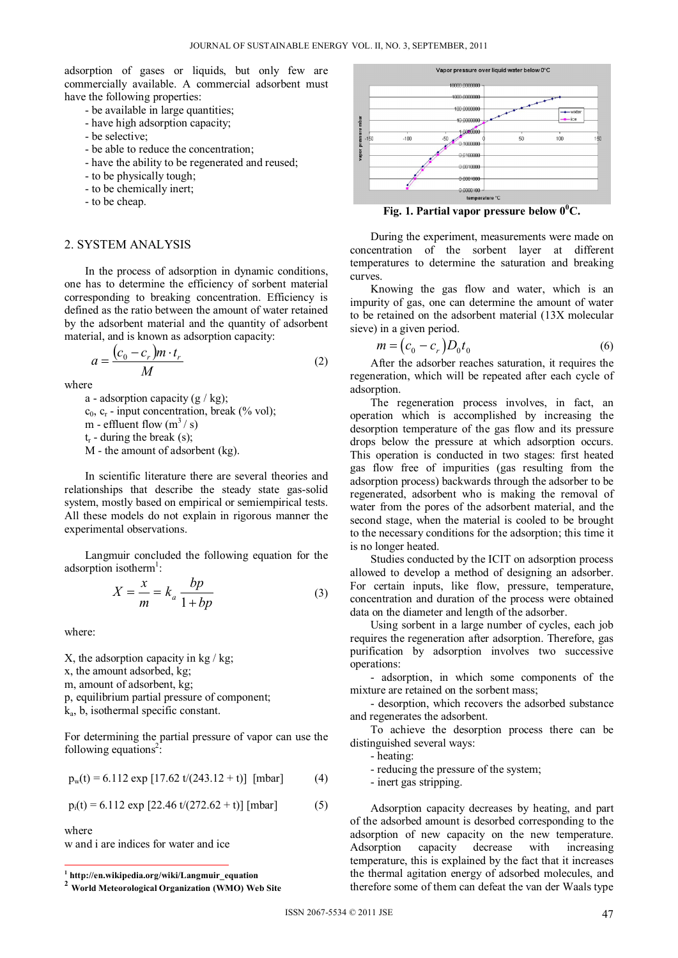adsorption of gases or liquids, but only few are commercially available. A commercial adsorbent must have the following properties:

- be available in large quantities;
- have high adsorption capacity;
- be selective;
- be able to reduce the concentration;
- have the ability to be regenerated and reused;
- to be physically tough;
- to be chemically inert;
- to be cheap.

### 2. SYSTEM ANALYSIS

In the process of adsorption in dynamic conditions, one has to determine the efficiency of sorbent material corresponding to breaking concentration. Efficiency is defined as the ratio between the amount of water retained by the adsorbent material and the quantity of adsorbent material, and is known as adsorption capacity:

$$
a = \frac{(c_0 - c_r)m \cdot t_r}{M} \tag{2}
$$

where

a - adsorption capacity  $(g / kg)$ ;  $c_0$ ,  $c_r$  - input concentration, break (% vol); m - effluent flow  $(m^3 / s)$  $t_r$  - during the break (s); M - the amount of adsorbent (kg).

In scientific literature there are several theories and relationships that describe the steady state gas-solid system, mostly based on empirical or semiempirical tests. All these models do not explain in rigorous manner the experimental observations.

Langmuir concluded the following equation for the adsorption isotherm<sup>1</sup>:

$$
X = \frac{x}{m} = k_a \frac{bp}{1 + bp} \tag{3}
$$

where:

X, the adsorption capacity in kg  $/kg$ ; x, the amount adsorbed, kg; m, amount of adsorbent, kg; p, equilibrium partial pressure of component; ka, b, isothermal specific constant.

For determining the partial pressure of vapor can use the following equations<sup>2</sup>:

$$
p_w(t) = 6.112 \exp [17.62 t/(243.12 + t)] \text{ [mbar]} \tag{4}
$$

$$
p_i(t) = 6.112 \exp [22.46 \t t/(272.62 + t)] \text{ [mbar]} \tag{5}
$$

where

w and i are indices for water and ice



**Fig. 1. Partial vapor pressure below**  $0^0C$ **.** 

During the experiment, measurements were made on concentration of the sorbent layer at different temperatures to determine the saturation and breaking curves.

Knowing the gas flow and water, which is an impurity of gas, one can determine the amount of water to be retained on the adsorbent material (13X molecular sieve) in a given period.

$$
m = (c_0 - c_r)D_0 t_0 \tag{6}
$$

After the adsorber reaches saturation, it requires the regeneration, which will be repeated after each cycle of adsorption.

The regeneration process involves, in fact, an operation which is accomplished by increasing the desorption temperature of the gas flow and its pressure drops below the pressure at which adsorption occurs. This operation is conducted in two stages: first heated gas flow free of impurities (gas resulting from the adsorption process) backwards through the adsorber to be regenerated, adsorbent who is making the removal of water from the pores of the adsorbent material, and the second stage, when the material is cooled to be brought to the necessary conditions for the adsorption; this time it is no longer heated.

Studies conducted by the ICIT on adsorption process allowed to develop a method of designing an adsorber. For certain inputs, like flow, pressure, temperature, concentration and duration of the process were obtained data on the diameter and length of the adsorber.

Using sorbent in a large number of cycles, each job requires the regeneration after adsorption. Therefore, gas purification by adsorption involves two successive operations:

- adsorption, in which some components of the mixture are retained on the sorbent mass;

- desorption, which recovers the adsorbed substance and regenerates the adsorbent.

To achieve the desorption process there can be distinguished several ways:

- heating:

- reducing the pressure of the system;

- inert gas stripping.

Adsorption capacity decreases by heating, and part of the adsorbed amount is desorbed corresponding to the adsorption of new capacity on the new temperature. Adsorption capacity decrease with increasing temperature, this is explained by the fact that it increases the thermal agitation energy of adsorbed molecules, and therefore some of them can defeat the van der Waals type

 **1 http://en.wikipedia.org/wiki/Langmuir\_equation** 

**<sup>2</sup> World Meteorological Organization (WMO) Web Site**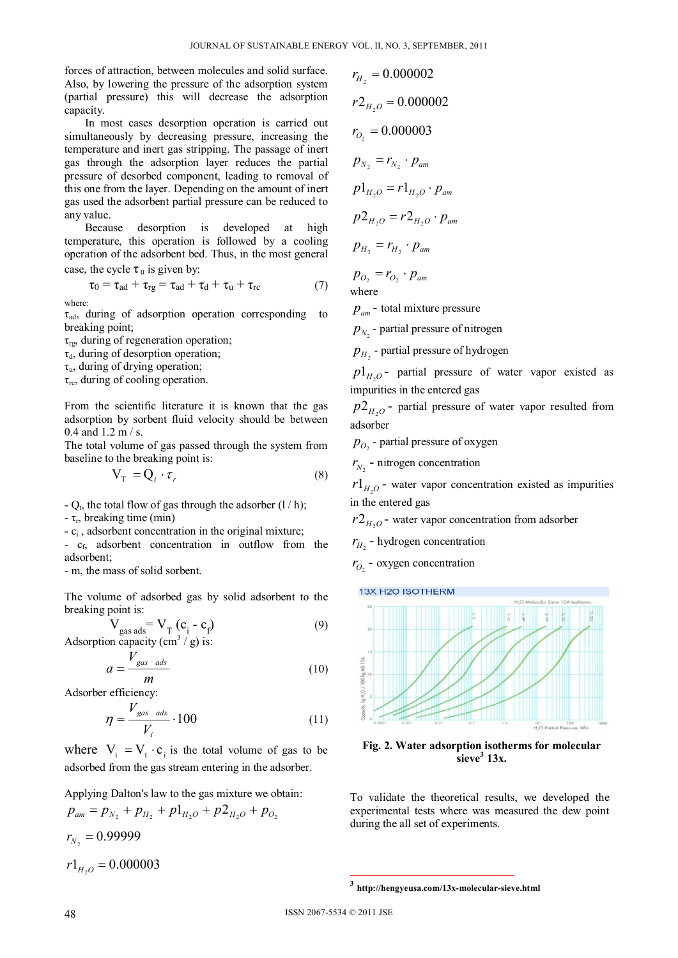forces of attraction, between molecules and solid surface. Also, by lowering the pressure of the adsorption system (partial pressure) this will decrease the adsorption capacity.

In most cases desorption operation is carried out simultaneously by decreasing pressure, increasing the temperature and inert gas stripping. The passage of inert gas through the adsorption layer reduces the partial pressure of desorbed component, leading to removal of this one from the layer. Depending on the amount of inert gas used the adsorbent partial pressure can be reduced to any value.

Because desorption is developed at high temperature, this operation is followed by a cooling operation of the adsorbent bed. Thus, in the most general case, the cycle  $\tau_0$  is given by:

case, the cycle 
$$
\tau_0
$$
 is given by:

$$
\tau_0 = \tau_{ad} + \tau_{rg} = \tau_{ad} + \tau_d + \tau_u + \tau_{rc}
$$
 (7)  
where:

 $\tau_{\text{ad}}$ , during of adsorption operation corresponding to breaking point;

 $\tau_{\text{rg}}$ , during of regeneration operation;

 $\tau_{d}$ , during of desorption operation;

 $\tau_{\rm u}$ , during of drying operation;

 $\tau_{\rm rc}$ , during of cooling operation.

From the scientific literature it is known that the gas adsorption by sorbent fluid velocity should be between 0.4 and 1.2 m / s.

The total volume of gas passed through the system from baseline to the breaking point is:

$$
V_T = Q_t \cdot \tau_r \tag{8}
$$

-  $O_t$ , the total flow of gas through the adsorber  $(1/h)$ ;

 $-\tau_{r}$ , breaking time (min)

 $-c_i$ , adsorbent concentration in the original mixture;

 $-c<sub>f</sub>$ , adsorbent concentration in outflow from the adsorbent;

- m, the mass of solid sorbent.

The volume of adsorbed gas by solid adsorbent to the breaking point is:

$$
V_{gas ads} = V_{T} (c_i - c_f)
$$
  
on capacity (cm<sup>3</sup> / o) is: (9)

Adsorption capacity (cm<sup>3</sup> / g) is:

$$
a = \frac{V_{gas \text{ads}}}{m} \tag{10}
$$

Adsorber efficiency:

$$
\eta = \frac{V_{gas \text{ads}}}{V_i} \cdot 100 \tag{11}
$$

where  $V_i = V_i \cdot c_i$  is the total volume of gas to be adsorbed from the gas stream entering in the adsorber.

Applying Dalton's law to the gas mixture we obtain:

 $p_{am} = p_{N_2} + p_{H_2} + p_{H_2O} + p_{H_2O} + p_{O_2}$  $r_{N_1} = 0.999999$  $r1_{H_2O} = 0.000003$ 

$$
r2_{H_2O} = 0.000002
$$
  
\n
$$
r_{O_2} = 0.000003
$$
  
\n
$$
p_{N_2} = r_{N_2} \cdot p_{am}
$$
  
\n
$$
p1_{H_2O} = r1_{H_2O} \cdot p_{am}
$$
  
\n
$$
p2_{H_2O} = r2_{H_2O} \cdot p_{am}
$$
  
\n
$$
p_{H_2} = r_{H_2} \cdot p_{am}
$$

 $r_{\perp} = 0.000002$ 

 $p_{O_2} = r_{O_2} \cdot p_{am}$ where

 $p_{\textit{am}}$  - total mixture pressure

 $p_{N_2}$  - partial pressure of nitrogen

 $p_{H_2}$  - partial pressure of hydrogen

 $p1_{H,0}$ - partial pressure of water vapor existed as impurities in the entered gas

 $p2_{H,0}$  - partial pressure of water vapor resulted from adsorber

 $p_{O_2}$  - partial pressure of oxygen

 $r_{N_2}$  - nitrogen concentration

 $r1_{H_2O}$  - water vapor concentration existed as impurities in the entered gas

 $r2_{H,0}$  - water vapor concentration from adsorber

 $r_{H_2}$  - hydrogen concentration

 $r_{O_2}$  - oxygen concentration

13X H2O ISOTHERM



**Fig. 2. Water adsorption isotherms for molecular sieve<sup>3</sup> 13x.** 

To validate the theoretical results, we developed the experimental tests where was measured the dew point during the all set of experiments.

**<sup>3</sup> http://hengyeusa.com/13x-molecular-sieve.html**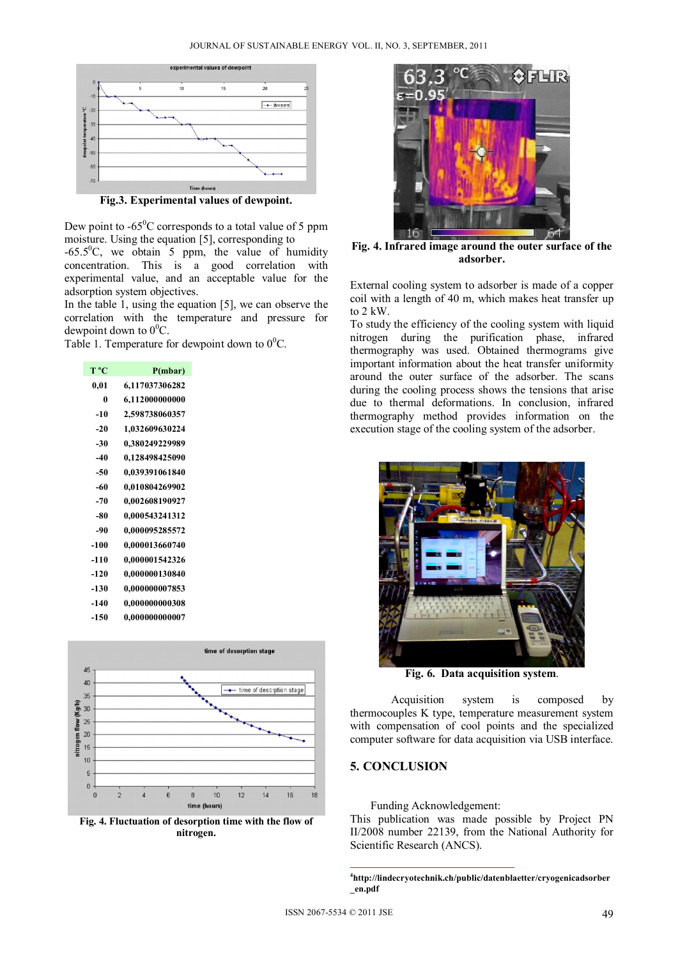

**Fig.3. Experimental values of dewpoint.** 

Dew point to  $-65^{\circ}$ C corresponds to a total value of 5 ppm moisture. Using the equation [5], corresponding to  $-65.5^{\circ}$ C, we obtain 5 ppm, the value of humidity concentration. This is a good correlation with experimental value, and an acceptable value for the adsorption system objectives.

In the table 1, using the equation [5], we can observe the correlation with the temperature and pressure for dewpoint down to  $0^0C$ .

Table 1. Temperature for dewpoint down to  $0^0$ C.

| T ºC   | P(mbar)        |
|--------|----------------|
| 0,01   | 6,117037306282 |
| 0      | 6,112000000000 |
| $-10$  | 2,598738060357 |
| $-20$  | 1,032609630224 |
| $-30$  | 0,380249229989 |
| $-40$  | 0,128498425090 |
| $-50$  | 0,039391061840 |
| -60    | 0,010804269902 |
| $-70$  | 0,002608190927 |
| -80    | 0,000543241312 |
| -90    | 0,000095285572 |
| $-100$ | 0,000013660740 |
| -110   | 0,000001542326 |
| $-120$ | 0,000000130840 |
| $-130$ | 0,000000007853 |
| -140   | 0,000000000308 |
| -150   | 0,000000000007 |
|        |                |



**Fig. 4. Fluctuation of desorption time with the flow of nitrogen.** 



**Fig. 4. Infrared image around the outer surface of the adsorber.** 

External cooling system to adsorber is made of a copper coil with a length of 40 m, which makes heat transfer up to 2 kW.

To study the efficiency of the cooling system with liquid nitrogen during the purification phase, infrared thermography was used. Obtained thermograms give important information about the heat transfer uniformity around the outer surface of the adsorber. The scans during the cooling process shows the tensions that arise due to thermal deformations. In conclusion, infrared thermography method provides information on the execution stage of the cooling system of the adsorber.



**Fig. 6. Data acquisition system**.

Acquisition system is composed by thermocouples K type, temperature measurement system with compensation of cool points and the specialized computer software for data acquisition via USB interface.

#### **5. CONCLUSION**

Funding Acknowledgement:

This publication was made possible by Project PN II/2008 number 22139, from the National Authority for Scientific Research (ANCS).

 **4 http://lindecryotechnik.ch/public/datenblaetter/cryogenicadsorber \_en.pdf**